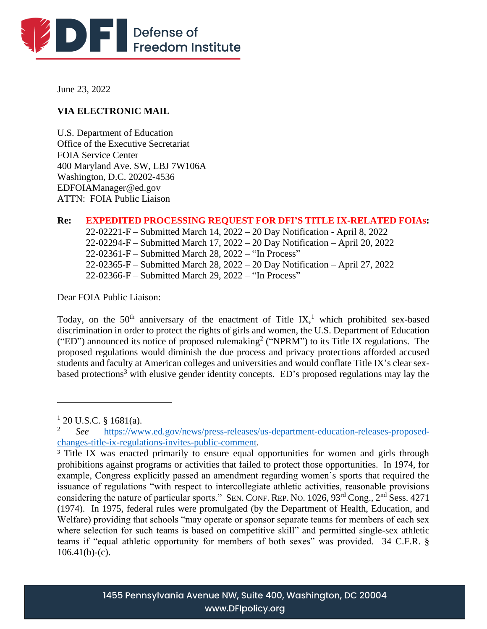

June 23, 2022

# **VIA ELECTRONIC MAIL**

U.S. Department of Education Office of the Executive Secretariat FOIA Service Center 400 Maryland Ave. SW, LBJ 7W106A Washington, D.C. 20202-4536 EDFOIAManager@ed.gov ATTN: FOIA Public Liaison

**Re: EXPEDITED PROCESSING REQUEST FOR DFI'S TITLE IX-RELATED FOIAs:**  22-02221-F – Submitted March 14, 2022 – 20 Day Notification - April 8, 2022 22-02294-F – Submitted March 17, 2022 – 20 Day Notification – April 20, 2022 22-02361-F – Submitted March 28, 2022 – "In Process" 22-02365-F – Submitted March 28, 2022 – 20 Day Notification – April 27, 2022 22-02366-F – Submitted March 29, 2022 – "In Process"

Dear FOIA Public Liaison:

Today, on the  $50<sup>th</sup>$  anniversary of the enactment of Title IX,<sup>1</sup> which prohibited sex-based discrimination in order to protect the rights of girls and women, the U.S. Department of Education ("ED") announced its notice of proposed rulemaking<sup>2</sup> ("NPRM") to its Title IX regulations. The proposed regulations would diminish the due process and privacy protections afforded accused students and faculty at American colleges and universities and would conflate Title IX's clear sexbased protections<sup>3</sup> with elusive gender identity concepts. ED's proposed regulations may lay the

 $1$  20 U.S.C. § 1681(a).

<sup>2</sup> *See* [https://www.ed.gov/news/press-releases/us-department-education-releases-proposed](https://www.ed.gov/news/press-releases/us-department-education-releases-proposed-changes-title-ix-regulations-invites-public-comment)[changes-title-ix-regulations-invites-public-comment.](https://www.ed.gov/news/press-releases/us-department-education-releases-proposed-changes-title-ix-regulations-invites-public-comment)

<sup>&</sup>lt;sup>3</sup> Title IX was enacted primarily to ensure equal opportunities for women and girls through prohibitions against programs or activities that failed to protect those opportunities. In 1974, for example, Congress explicitly passed an amendment regarding women's sports that required the issuance of regulations "with respect to intercollegiate athletic activities, reasonable provisions considering the nature of particular sports." SEN. CONF. REP. NO. 1026, 93<sup>rd</sup> Cong., 2<sup>nd</sup> Sess. 4271 (1974). In 1975, federal rules were promulgated (by the Department of Health, Education, and Welfare) providing that schools "may operate or sponsor separate teams for members of each sex where selection for such teams is based on competitive skill" and permitted single-sex athletic teams if "equal athletic opportunity for members of both sexes" was provided. 34 C.F.R. §  $106.41(b)-(c)$ .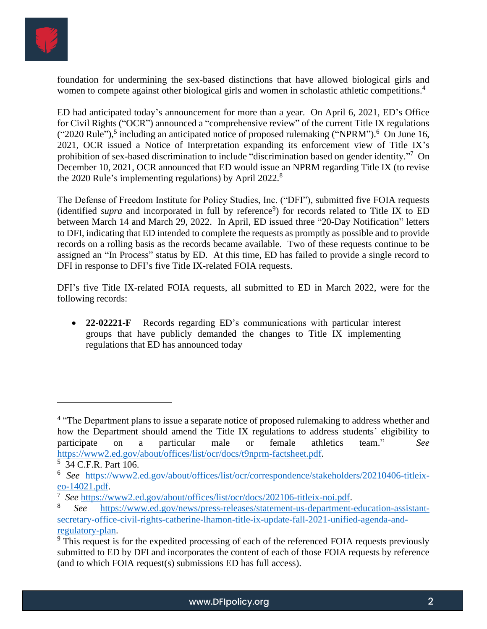

foundation for undermining the sex-based distinctions that have allowed biological girls and women to compete against other biological girls and women in scholastic athletic competitions.<sup>4</sup>

ED had anticipated today's announcement for more than a year. On April 6, 2021, ED's Office for Civil Rights ("OCR") announced a "comprehensive review" of the current Title IX regulations  $("2020 Rule"),$ <sup>5</sup> including an anticipated notice of proposed rulemaking  $("NPRM").$ <sup>6</sup> On June 16, 2021, OCR issued a Notice of Interpretation expanding its enforcement view of Title IX's prohibition of sex-based discrimination to include "discrimination based on gender identity."<sup>7</sup> On December 10, 2021, OCR announced that ED would issue an NPRM regarding Title IX (to revise the 2020 Rule's implementing regulations) by April 2022.<sup>8</sup>

The Defense of Freedom Institute for Policy Studies, Inc. ("DFI"), submitted five FOIA requests (identified *supra* and incorporated in full by reference<sup>9</sup>) for records related to Title IX to ED between March 14 and March 29, 2022. In April, ED issued three "20-Day Notification" letters to DFI, indicating that ED intended to complete the requests as promptly as possible and to provide records on a rolling basis as the records became available. Two of these requests continue to be assigned an "In Process" status by ED. At this time, ED has failed to provide a single record to DFI in response to DFI's five Title IX-related FOIA requests.

DFI's five Title IX-related FOIA requests, all submitted to ED in March 2022, were for the following records:

• **22-02221-F** Records regarding ED's communications with particular interest groups that have publicly demanded the changes to Title IX implementing regulations that ED has announced today

<sup>&</sup>lt;sup>4</sup> "The Department plans to issue a separate notice of proposed rulemaking to address whether and how the Department should amend the Title IX regulations to address students' eligibility to participate on a particular male or female athletics team." *See* [https://www2.ed.gov/about/offices/list/ocr/docs/t9nprm-factsheet.pdf.](https://www2.ed.gov/about/offices/list/ocr/docs/t9nprm-factsheet.pdf)

<sup>5</sup> 34 C.F.R. Part 106.

<sup>6</sup> *See* [https://www2.ed.gov/about/offices/list/ocr/correspondence/stakeholders/20210406-titleix](https://www2.ed.gov/about/offices/list/ocr/correspondence/stakeholders/20210406-titleix-eo-14021.pdf)[eo-14021.pdf.](https://www2.ed.gov/about/offices/list/ocr/correspondence/stakeholders/20210406-titleix-eo-14021.pdf)

<sup>7</sup> *See* [https://www2.ed.gov/about/offices/list/ocr/docs/202106-titleix-noi.pdf.](https://www2.ed.gov/about/offices/list/ocr/docs/202106-titleix-noi.pdf)

<sup>8</sup> *See* [https://www.ed.gov/news/press-releases/statement-us-department-education-assistant](https://www.ed.gov/news/press-releases/statement-us-department-education-assistant-secretary-office-civil-rights-catherine-lhamon-title-ix-update-fall-2021-unified-agenda-and-regulatory-plan)[secretary-office-civil-rights-catherine-lhamon-title-ix-update-fall-2021-unified-agenda-and](https://www.ed.gov/news/press-releases/statement-us-department-education-assistant-secretary-office-civil-rights-catherine-lhamon-title-ix-update-fall-2021-unified-agenda-and-regulatory-plan)[regulatory-plan.](https://www.ed.gov/news/press-releases/statement-us-department-education-assistant-secretary-office-civil-rights-catherine-lhamon-title-ix-update-fall-2021-unified-agenda-and-regulatory-plan)

<sup>&</sup>lt;sup>9</sup> This request is for the expedited processing of each of the referenced FOIA requests previously submitted to ED by DFI and incorporates the content of each of those FOIA requests by reference (and to which FOIA request(s) submissions ED has full access).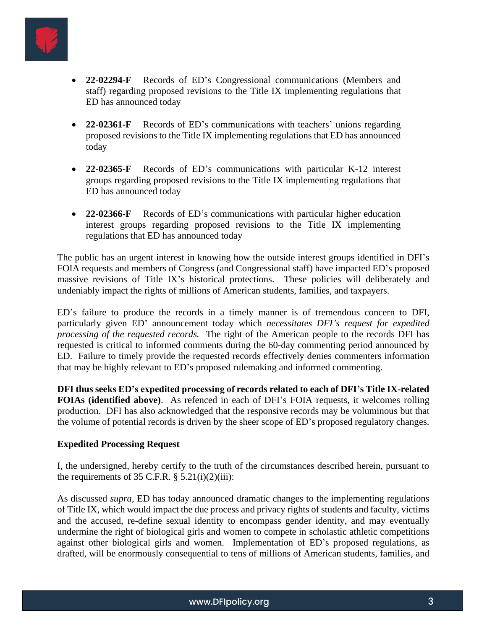

- **22-02294-F** Records of ED's Congressional communications (Members and staff) regarding proposed revisions to the Title IX implementing regulations that ED has announced today
- **22-02361-F** Records of ED's communications with teachers' unions regarding proposed revisions to the Title IX implementing regulations that ED has announced today
- **22-02365-F** Records of ED's communications with particular K-12 interest groups regarding proposed revisions to the Title IX implementing regulations that ED has announced today
- **22-02366-F** Records of ED's communications with particular higher education interest groups regarding proposed revisions to the Title IX implementing regulations that ED has announced today

The public has an urgent interest in knowing how the outside interest groups identified in DFI's FOIA requests and members of Congress (and Congressional staff) have impacted ED's proposed massive revisions of Title IX's historical protections. These policies will deliberately and undeniably impact the rights of millions of American students, families, and taxpayers.

ED's failure to produce the records in a timely manner is of tremendous concern to DFI, particularly given ED' announcement today which *necessitates DFI's request for expedited processing of the requested records.* The right of the American people to the records DFI has requested is critical to informed comments during the 60-day commenting period announced by ED. Failure to timely provide the requested records effectively denies commenters information that may be highly relevant to ED's proposed rulemaking and informed commenting.

**DFI thus seeks ED's expedited processing of records related to each of DFI's Title IX-related FOIAs (identified above)**. As refenced in each of DFI's FOIA requests, it welcomes rolling production. DFI has also acknowledged that the responsive records may be voluminous but that the volume of potential records is driven by the sheer scope of ED's proposed regulatory changes.

### **Expedited Processing Request**

I, the undersigned, hereby certify to the truth of the circumstances described herein, pursuant to the requirements of 35 C.F.R.  $\S$  5.21(i)(2)(iii):

As discussed *supra*, ED has today announced dramatic changes to the implementing regulations of Title IX, which would impact the due process and privacy rights of students and faculty, victims and the accused, re-define sexual identity to encompass gender identity, and may eventually undermine the right of biological girls and women to compete in scholastic athletic competitions against other biological girls and women. Implementation of ED's proposed regulations, as drafted, will be enormously consequential to tens of millions of American students, families, and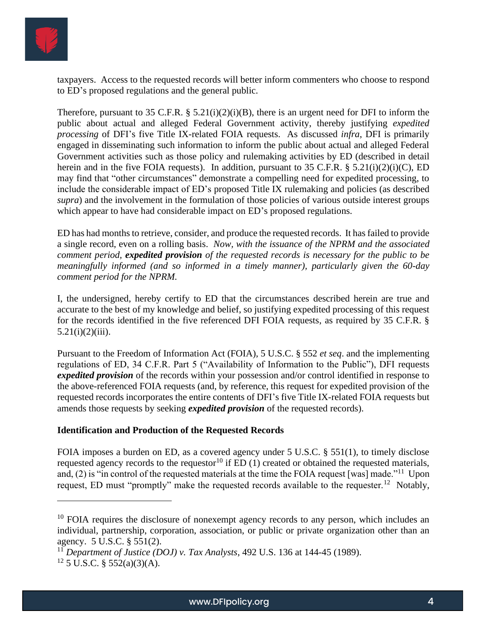

taxpayers. Access to the requested records will better inform commenters who choose to respond to ED's proposed regulations and the general public.

Therefore, pursuant to 35 C.F.R.  $\S$  5.21(i)(2)(i)(B), there is an urgent need for DFI to inform the public about actual and alleged Federal Government activity, thereby justifying *expedited processing* of DFI's five Title IX-related FOIA requests. As discussed *infra*, DFI is primarily engaged in disseminating such information to inform the public about actual and alleged Federal Government activities such as those policy and rulemaking activities by ED (described in detail herein and in the five FOIA requests). In addition, pursuant to 35 C.F.R. § 5.21(i)(2)(i)(C), ED may find that "other circumstances" demonstrate a compelling need for expedited processing, to include the considerable impact of ED's proposed Title IX rulemaking and policies (as described *supra*) and the involvement in the formulation of those policies of various outside interest groups which appear to have had considerable impact on ED's proposed regulations.

ED has had months to retrieve, consider, and produce the requested records. It has failed to provide a single record, even on a rolling basis. *Now, with the issuance of the NPRM and the associated comment period, expedited provision of the requested records is necessary for the public to be meaningfully informed (and so informed in a timely manner), particularly given the 60-day comment period for the NPRM.*

I, the undersigned, hereby certify to ED that the circumstances described herein are true and accurate to the best of my knowledge and belief, so justifying expedited processing of this request for the records identified in the five referenced DFI FOIA requests, as required by 35 C.F.R. §  $5.21(i)(2)(iii)$ .

Pursuant to the Freedom of Information Act (FOIA), 5 U.S.C. § 552 *et seq*. and the implementing regulations of ED, 34 C.F.R. Part 5 ("Availability of Information to the Public"), DFI requests *expedited provision* of the records within your possession and/or control identified in response to the above-referenced FOIA requests (and, by reference, this request for expedited provision of the requested records incorporates the entire contents of DFI's five Title IX-related FOIA requests but amends those requests by seeking *expedited provision* of the requested records).

### **Identification and Production of the Requested Records**

FOIA imposes a burden on ED, as a covered agency under 5 U.S.C. § 551(1), to timely disclose requested agency records to the requestor<sup>10</sup> if ED  $(1)$  created or obtained the requested materials, and, (2) is "in control of the requested materials at the time the FOIA request [was] made."<sup>11</sup> Upon request, ED must "promptly" make the requested records available to the requester.<sup>12</sup> Notably,

 $10$  FOIA requires the disclosure of nonexempt agency records to any person, which includes an individual, partnership, corporation, association, or public or private organization other than an agency. 5 U.S.C. § 551(2).

<sup>11</sup> *Department of Justice (DOJ) v. Tax Analysts*, 492 U.S. 136 at 144-45 (1989).

 $12$  5 U.S.C. § 552(a)(3)(A).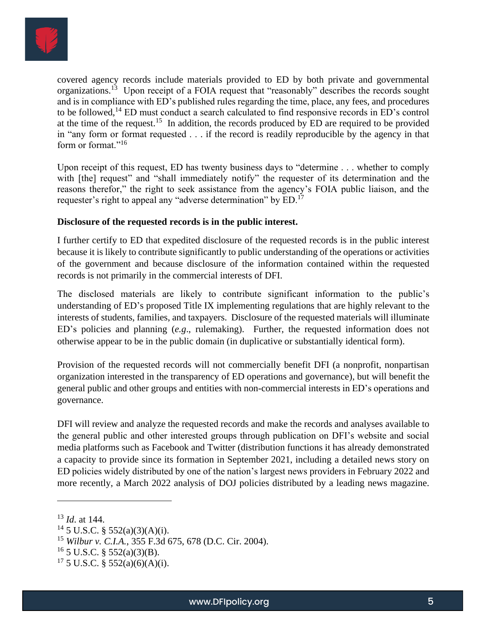

covered agency records include materials provided to ED by both private and governmental organizations.<sup>13</sup> Upon receipt of a FOIA request that "reasonably" describes the records sought and is in compliance with ED's published rules regarding the time, place, any fees, and procedures to be followed,<sup>14</sup> ED must conduct a search calculated to find responsive records in ED's control at the time of the request.<sup>15</sup> In addition, the records produced by ED are required to be provided in "any form or format requested . . . if the record is readily reproducible by the agency in that form or format."<sup>16</sup>

Upon receipt of this request. ED has twenty business days to "determine . . . whether to comply with [the] request" and "shall immediately notify" the requester of its determination and the reasons therefor," the right to seek assistance from the agency's FOIA public liaison, and the requester's right to appeal any "adverse determination" by ED.<sup>17</sup>

### **Disclosure of the requested records is in the public interest.**

I further certify to ED that expedited disclosure of the requested records is in the public interest because it is likely to contribute significantly to public understanding of the operations or activities of the government and because disclosure of the information contained within the requested records is not primarily in the commercial interests of DFI.

The disclosed materials are likely to contribute significant information to the public's understanding of ED's proposed Title IX implementing regulations that are highly relevant to the interests of students, families, and taxpayers. Disclosure of the requested materials will illuminate ED's policies and planning (*e.g*., rulemaking). Further, the requested information does not otherwise appear to be in the public domain (in duplicative or substantially identical form).

Provision of the requested records will not commercially benefit DFI (a nonprofit, nonpartisan organization interested in the transparency of ED operations and governance), but will benefit the general public and other groups and entities with non-commercial interests in ED's operations and governance.

DFI will review and analyze the requested records and make the records and analyses available to the general public and other interested groups through publication on DFI's website and social media platforms such as Facebook and Twitter (distribution functions it has already demonstrated a capacity to provide since its formation in September 2021, including a detailed news story on ED policies widely distributed by one of the nation's largest news providers in February 2022 and more recently, a March 2022 analysis of DOJ policies distributed by a leading news magazine.

<sup>13</sup> *Id*. at 144.

 $14\,5$  U.S.C. § 552(a)(3)(A)(i).

<sup>15</sup> *Wilbur v. C.I.A.*, 355 F.3d 675, 678 (D.C. Cir. 2004).

 $^{16}$  5 U.S.C. § 552(a)(3)(B).

 $17\,5$  U.S.C. § 552(a)(6)(A)(i).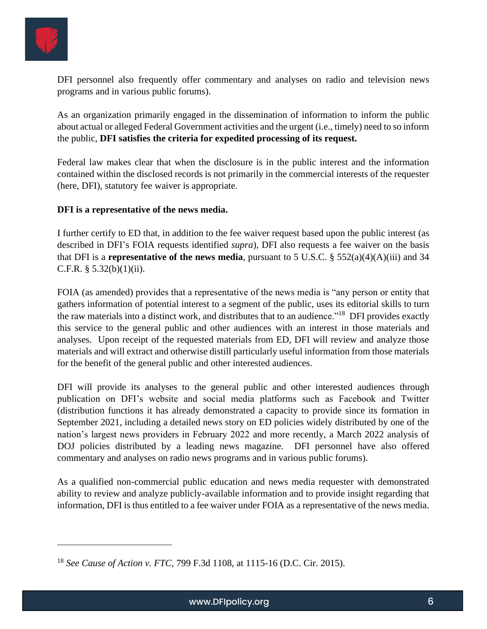

DFI personnel also frequently offer commentary and analyses on radio and television news programs and in various public forums).

As an organization primarily engaged in the dissemination of information to inform the public about actual or alleged Federal Government activities and the urgent (i.e., timely) need to so inform the public, **DFI satisfies the criteria for expedited processing of its request.**

Federal law makes clear that when the disclosure is in the public interest and the information contained within the disclosed records is not primarily in the commercial interests of the requester (here, DFI), statutory fee waiver is appropriate.

#### **DFI is a representative of the news media.**

I further certify to ED that, in addition to the fee waiver request based upon the public interest (as described in DFI's FOIA requests identified *supra*), DFI also requests a fee waiver on the basis that DFI is a **representative of the news media**, pursuant to 5 U.S.C. §  $552(a)(4)(A)(iii)$  and 34 C.F.R.  $§ 5.32(b)(1)(ii)$ .

FOIA (as amended) provides that a representative of the news media is "any person or entity that gathers information of potential interest to a segment of the public, uses its editorial skills to turn the raw materials into a distinct work, and distributes that to an audience."<sup>18</sup> DFI provides exactly this service to the general public and other audiences with an interest in those materials and analyses. Upon receipt of the requested materials from ED, DFI will review and analyze those materials and will extract and otherwise distill particularly useful information from those materials for the benefit of the general public and other interested audiences.

DFI will provide its analyses to the general public and other interested audiences through publication on DFI's website and social media platforms such as Facebook and Twitter (distribution functions it has already demonstrated a capacity to provide since its formation in September 2021, including a detailed news story on ED policies widely distributed by one of the nation's largest news providers in February 2022 and more recently, a March 2022 analysis of DOJ policies distributed by a leading news magazine. DFI personnel have also offered commentary and analyses on radio news programs and in various public forums).

As a qualified non-commercial public education and news media requester with demonstrated ability to review and analyze publicly-available information and to provide insight regarding that information, DFI is thus entitled to a fee waiver under FOIA as a representative of the news media.

<sup>18</sup> *See Cause of Action v. FTC,* 799 F.3d 1108, at 1115-16 (D.C. Cir. 2015).